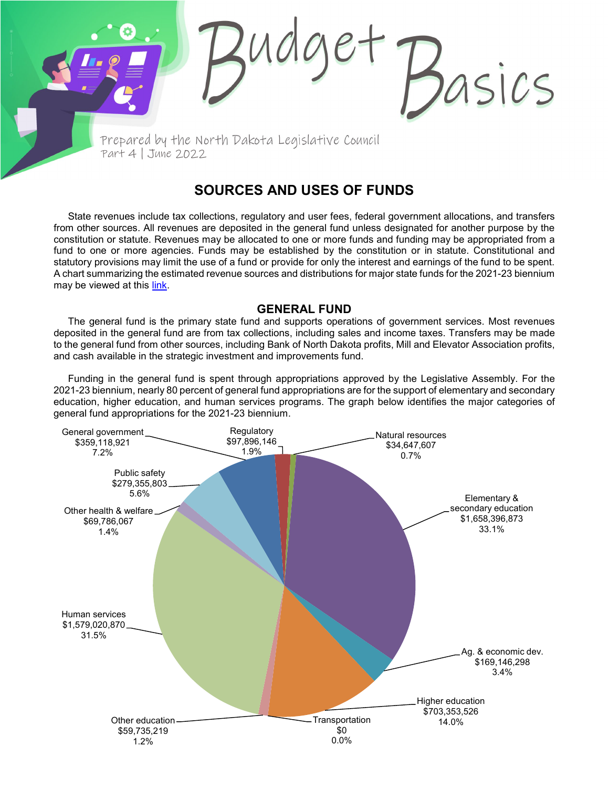Prepared by the North Dakota Legislative Council Part 4 | June 2022

## **SOURCES AND USES OF FUNDS**

asics

State revenues include tax collections, regulatory and user fees, federal government allocations, and transfers from other sources. All revenues are deposited in the general fund unless designated for another purpose by the constitution or statute. Revenues may be allocated to one or more funds and funding may be appropriated from a fund to one or more agencies. Funds may be established by the constitution or in statute. Constitutional and statutory provisions may limit the use of a fund or provide for only the interest and earnings of the fund to be spent. A chart summarizing the estimated revenue sources and distributions for major state funds for the 2021-23 biennium may be viewed at this [link.](https://ndlegis.gov/files/fiscal/2021-23/docs/23_9010_02000.pdf)

## **GENERAL FUND**

The general fund is the primary state fund and supports operations of government services. Most revenues deposited in the general fund are from tax collections, including sales and income taxes. Transfers may be made to the general fund from other sources, including Bank of North Dakota profits, Mill and Elevator Association profits, and cash available in the strategic investment and improvements fund.

Funding in the general fund is spent through appropriations approved by the Legislative Assembly. For the 2021-23 biennium, nearly 80 percent of general fund appropriations are for the support of elementary and secondary education, higher education, and human services programs. The graph below identifies the major categories of general fund appropriations for the 2021-23 biennium.